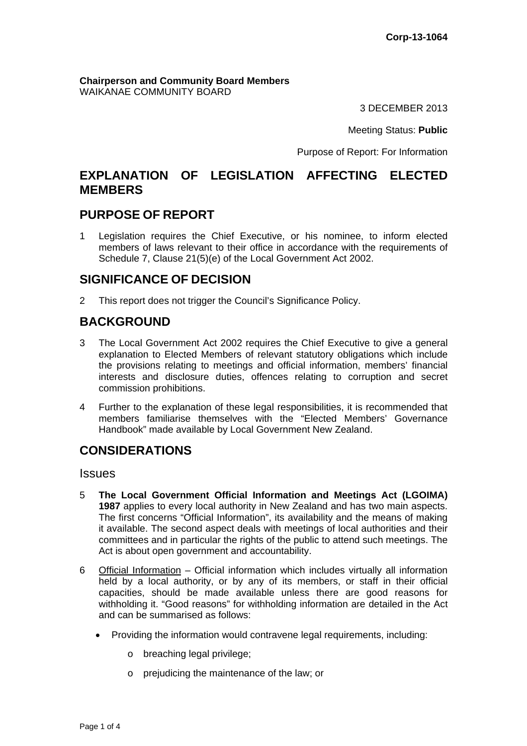**Chairperson and Community Board Members** WAIKANAE COMMUNITY BOARD

3 DECEMBER 2013

Meeting Status: **Public**

Purpose of Report: For Information

## **EXPLANATION OF LEGISLATION AFFECTING ELECTED MEMBERS**

#### **PURPOSE OF REPORT**

1 Legislation requires the Chief Executive, or his nominee, to inform elected members of laws relevant to their office in accordance with the requirements of Schedule 7, Clause 21(5)(e) of the Local Government Act 2002.

## **SIGNIFICANCE OF DECISION**

2 This report does not trigger the Council's Significance Policy.

## **BACKGROUND**

- 3 The Local Government Act 2002 requires the Chief Executive to give a general explanation to Elected Members of relevant statutory obligations which include the provisions relating to meetings and official information, members' financial interests and disclosure duties, offences relating to corruption and secret commission prohibitions.
- 4 Further to the explanation of these legal responsibilities, it is recommended that members familiarise themselves with the "Elected Members' Governance Handbook" made available by Local Government New Zealand.

# **CONSIDERATIONS**

Issues

- 5 **The Local Government Official Information and Meetings Act (LGOIMA) 1987** applies to every local authority in New Zealand and has two main aspects. The first concerns "Official Information", its availability and the means of making it available. The second aspect deals with meetings of local authorities and their committees and in particular the rights of the public to attend such meetings. The Act is about open government and accountability.
- 6 Official Information Official information which includes virtually all information held by a local authority, or by any of its members, or staff in their official capacities, should be made available unless there are good reasons for withholding it. "Good reasons" for withholding information are detailed in the Act and can be summarised as follows:
	- Providing the information would contravene legal requirements, including:
		- o breaching legal privilege;
		- o prejudicing the maintenance of the law; or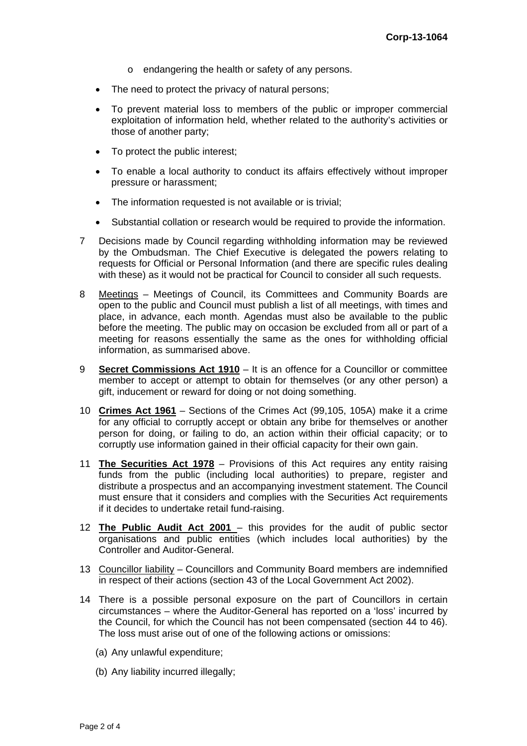- o endangering the health or safety of any persons.
- The need to protect the privacy of natural persons;
- To prevent material loss to members of the public or improper commercial exploitation of information held, whether related to the authority's activities or those of another party;
- To protect the public interest;
- To enable a local authority to conduct its affairs effectively without improper pressure or harassment;
- The information requested is not available or is trivial;
- Substantial collation or research would be required to provide the information.
- 7 Decisions made by Council regarding withholding information may be reviewed by the Ombudsman. The Chief Executive is delegated the powers relating to requests for Official or Personal Information (and there are specific rules dealing with these) as it would not be practical for Council to consider all such requests.
- 8 Meetings Meetings of Council, its Committees and Community Boards are open to the public and Council must publish a list of all meetings, with times and place, in advance, each month. Agendas must also be available to the public before the meeting. The public may on occasion be excluded from all or part of a meeting for reasons essentially the same as the ones for withholding official information, as summarised above.
- 9 **Secret Commissions Act 1910** It is an offence for a Councillor or committee member to accept or attempt to obtain for themselves (or any other person) a gift, inducement or reward for doing or not doing something.
- 10 **Crimes Act 1961** Sections of the Crimes Act (99,105, 105A) make it a crime for any official to corruptly accept or obtain any bribe for themselves or another person for doing, or failing to do, an action within their official capacity; or to corruptly use information gained in their official capacity for their own gain.
- 11 **The Securities Act 1978** Provisions of this Act requires any entity raising funds from the public (including local authorities) to prepare, register and distribute a prospectus and an accompanying investment statement. The Council must ensure that it considers and complies with the Securities Act requirements if it decides to undertake retail fund-raising.
- 12 **The Public Audit Act 2001**  this provides for the audit of public sector organisations and public entities (which includes local authorities) by the Controller and Auditor-General.
- 13 Councillor liability Councillors and Community Board members are indemnified in respect of their actions (section 43 of the Local Government Act 2002).
- 14 There is a possible personal exposure on the part of Councillors in certain circumstances – where the Auditor-General has reported on a 'loss' incurred by the Council, for which the Council has not been compensated (section 44 to 46). The loss must arise out of one of the following actions or omissions:
	- (a) Any unlawful expenditure;
	- (b) Any liability incurred illegally;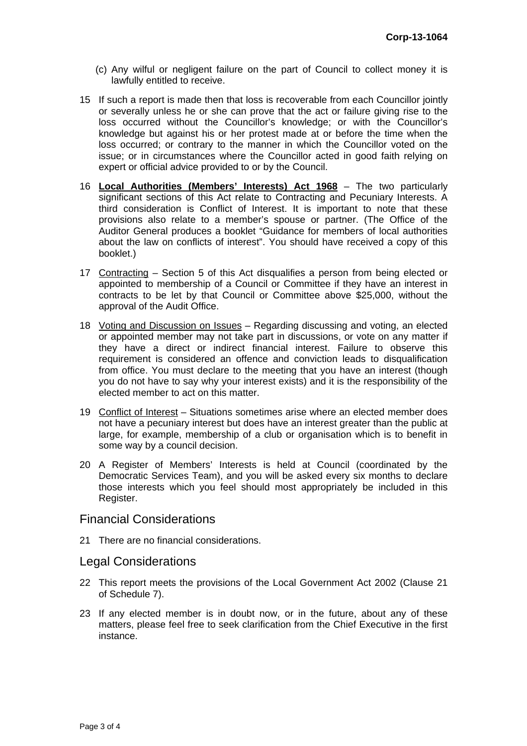- (c) Any wilful or negligent failure on the part of Council to collect money it is lawfully entitled to receive.
- 15 If such a report is made then that loss is recoverable from each Councillor jointly or severally unless he or she can prove that the act or failure giving rise to the loss occurred without the Councillor's knowledge; or with the Councillor's knowledge but against his or her protest made at or before the time when the loss occurred; or contrary to the manner in which the Councillor voted on the issue; or in circumstances where the Councillor acted in good faith relying on expert or official advice provided to or by the Council.
- 16 **Local Authorities (Members' Interests) Act 1968** The two particularly significant sections of this Act relate to Contracting and Pecuniary Interests. A third consideration is Conflict of Interest. It is important to note that these provisions also relate to a member's spouse or partner. (The Office of the Auditor General produces a booklet "Guidance for members of local authorities about the law on conflicts of interest". You should have received a copy of this booklet.)
- 17 Contracting Section 5 of this Act disqualifies a person from being elected or appointed to membership of a Council or Committee if they have an interest in contracts to be let by that Council or Committee above \$25,000, without the approval of the Audit Office.
- 18 Voting and Discussion on Issues Regarding discussing and voting, an elected or appointed member may not take part in discussions, or vote on any matter if they have a direct or indirect financial interest. Failure to observe this requirement is considered an offence and conviction leads to disqualification from office. You must declare to the meeting that you have an interest (though you do not have to say why your interest exists) and it is the responsibility of the elected member to act on this matter.
- 19 Conflict of Interest Situations sometimes arise where an elected member does not have a pecuniary interest but does have an interest greater than the public at large, for example, membership of a club or organisation which is to benefit in some way by a council decision.
- 20 A Register of Members' Interests is held at Council (coordinated by the Democratic Services Team), and you will be asked every six months to declare those interests which you feel should most appropriately be included in this Register.

### Financial Considerations

21 There are no financial considerations.

#### Legal Considerations

- 22 This report meets the provisions of the Local Government Act 2002 (Clause 21 of Schedule 7).
- 23 If any elected member is in doubt now, or in the future, about any of these matters, please feel free to seek clarification from the Chief Executive in the first instance.